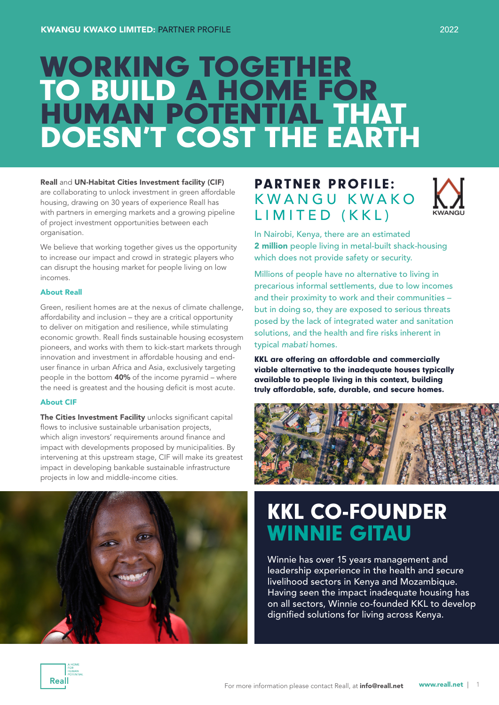# WORKING TOGETHER TO BUILD A HOME FOR HUMAN POTENTIAL THAT DOESN'T COST THE EARTH

### Reall and UN-Habitat Cities Investment facility (CIF)

are collaborating to unlock investment in green affordable housing, drawing on 30 years of experience Reall has with partners in emerging markets and a growing pipeline of project investment opportunities between each organisation.

We believe that working together gives us the opportunity to increase our impact and crowd in strategic players who can disrupt the housing market for people living on low incomes.

#### About Reall

Green, resilient homes are at the nexus of climate challenge, affordability and inclusion – they are a critical opportunity to deliver on mitigation and resilience, while stimulating economic growth. Reall finds sustainable housing ecosystem pioneers, and works with them to kick-start markets through innovation and investment in affordable housing and enduser finance in urban Africa and Asia, exclusively targeting people in the bottom 40% of the income pyramid – where the need is greatest and the housing deficit is most acute.

#### About CIF

The Cities Investment Facility unlocks significant capital flows to inclusive sustainable urbanisation projects, which align investors' requirements around finance and impact with developments proposed by municipalities. By intervening at this upstream stage, CIF will make its greatest impact in developing bankable sustainable infrastructure projects in low and middle-income cities.



### PARTNER PROFILE: K W A N G U K W A K O LIMITED (KKL)



In Nairobi, Kenya, there are an estimated 2 million people living in metal-built shack-housing which does not provide safety or security.

Millions of people have no alternative to living in precarious informal settlements, due to low incomes and their proximity to work and their communities – but in doing so, they are exposed to serious threats posed by the lack of integrated water and sanitation solutions, and the health and fire risks inherent in typical *mabati* homes.

KKL are offering an affordable and commercially viable alternative to the inadequate houses typically available to people living in this context, building truly affordable, safe, durable, and secure homes.



## KKL CO-FOUNDER WINNIE GITAU

Winnie has over 15 years management and leadership experience in the health and secure livelihood sectors in Kenya and Mozambique. Having seen the impact inadequate housing has on all sectors, Winnie co-founded KKL to develop dignified solutions for living across Kenya.